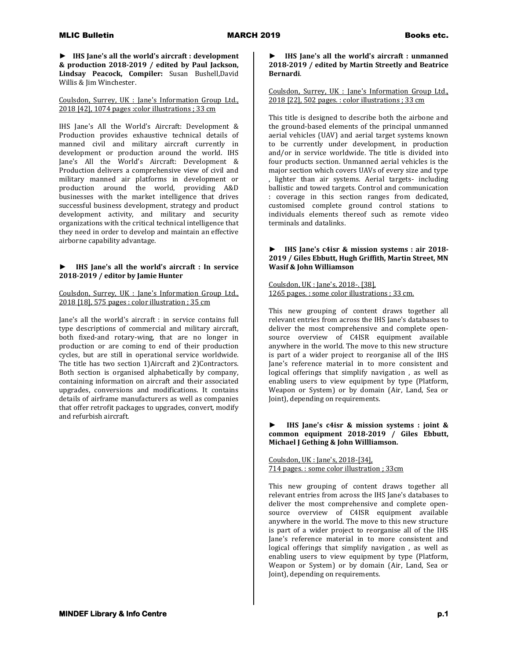**► IHS Jane's all the world's aircraft : development & production 2018-2019 / edited by Paul Jackson, Lindsay Peacock, Compiler:** Susan Bushell,David Willis & Jim Winchester.

Coulsdon, Surrey, UK : Jane's Information Group Ltd., 2018 [42], 1074 pages :color illustrations ; 33 cm

IHS Jane's All the World's Aircraft: Development & Production provides exhaustive technical details of manned civil and military aircraft currently in development or production around the world. IHS Jane's All the World's Aircraft: Development & Production delivers a comprehensive view of civil and military manned air platforms in development or production around the world, providing A&D businesses with the market intelligence that drives successful business development, strategy and product development activity, and military and security organizations with the critical technical intelligence that they need in order to develop and maintain an effective airborne capability advantage.

# **► IHS Jane's all the world's aircraft : In service 2018-2019 / editor by Jamie Hunter**

Coulsdon, Surrey, UK : Jane's Information Group Ltd., 2018 [18], 575 pages : color illustration ; 35 cm

Jane's all the world's aircraft : in service contains full type descriptions of commercial and military aircraft, both fixed-and rotary-wing, that are no longer in production or are coming to end of their production cycles, but are still in operational service worldwide. The title has two section 1)Aircraft and 2)Contractors. Both section is organised alphabetically by company, containing information on aircraft and their associated upgrades, conversions and modifications. It contains details of airframe manufacturers as well as companies that offer retrofit packages to upgrades, convert, modify and refurbish aircraft.

### **► IHS Jane's all the world's aircraft : unmanned 2018-2019 / edited by Martin Streetly and Beatrice Bernardi**.

## Coulsdon, Surrey, UK : Jane's Information Group Ltd., 2018 [22], 502 pages. : color illustrations ; 33 cm

This title is designed to describe both the airbone and the ground-based elements of the principal unmanned aerial vehicles (UAV) and aerial target systems known to be currently under development, in production and/or in service worldwide. The title is divided into four products section. Unmanned aerial vehicles is the major section which covers UAVs of every size and type lighter than air systems. Aerial targets- including ballistic and towed targets. Control and communication : coverage in this section ranges from dedicated, customised complete ground control stations to individuals elements thereof such as remote video terminals and datalinks.

# **► IHS Jane's c4isr & mission systems : air 2018- 2019 / Giles Ebbutt, Hugh Griffith, Martin Street, MN Wasif & John Williamson**

Coulsdon, UK : Jane's, 2018-. [38], 1265 pages. : some color illustrations ; 33 cm.

This new grouping of content draws together all relevant entries from across the IHS Jane's databases to deliver the most comprehensive and complete opensource overview of C4ISR equipment available anywhere in the world. The move to this new structure is part of a wider project to reorganise all of the IHS Jane's reference material in to more consistent and logical offerings that simplify navigation , as well as enabling users to view equipment by type (Platform, Weapon or System) or by domain (Air, Land, Sea or Joint), depending on requirements.

## **► IHS Jane's c4isr & mission systems : joint & common equipment 2018-2019 / Giles Ebbutt, Michael J Gething & John Willliamson.**

Coulsdon, UK : Jane's, 2018-[34], 714 pages. : some color illustration ; 33cm

This new grouping of content draws together all relevant entries from across the IHS Jane's databases to deliver the most comprehensive and complete opensource overview of C4ISR equipment available anywhere in the world. The move to this new structure is part of a wider project to reorganise all of the IHS Jane's reference material in to more consistent and logical offerings that simplify navigation , as well as enabling users to view equipment by type (Platform, Weapon or System) or by domain (Air, Land, Sea or Joint), depending on requirements.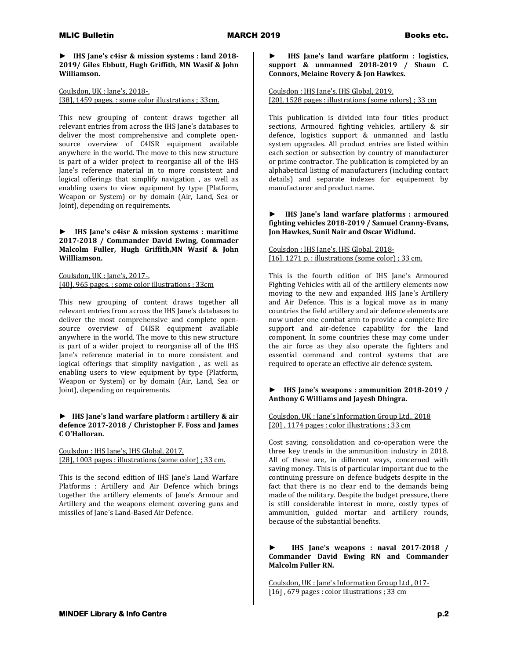### **► IHS Jane's c4isr & mission systems : land 2018- 2019/ Giles Ebbutt, Hugh Griffith, MN Wasif & John Williamson.**

Coulsdon, UK : Jane's, 2018-. [38], 1459 pages.: some color illustrations ; 33cm.

This new grouping of content draws together all relevant entries from across the IHS Jane's databases to deliver the most comprehensive and complete opensource overview of C4ISR equipment available anywhere in the world. The move to this new structure is part of a wider project to reorganise all of the IHS Jane's reference material in to more consistent and logical offerings that simplify navigation , as well as enabling users to view equipment by type (Platform, Weapon or System) or by domain (Air, Land, Sea or Joint), depending on requirements.

# **► IHS Jane's c4isr & mission systems : maritime 2017-2018 / Commander David Ewing, Commader Malcolm Fuller, Hugh Griffith,MN Wasif & John Willliamson.**

Coulsdon, UK : Jane's, 2017-. [40], 965 pages. : some color illustrations ; 33cm

This new grouping of content draws together all relevant entries from across the IHS Jane's databases to deliver the most comprehensive and complete opensource overview of C4ISR equipment available anywhere in the world. The move to this new structure is part of a wider project to reorganise all of the IHS Jane's reference material in to more consistent and logical offerings that simplify navigation , as well as enabling users to view equipment by type (Platform, Weapon or System) or by domain (Air, Land, Sea or Joint), depending on requirements.

## **► IHS Jane's land warfare platform : artillery & air defence 2017-2018 / Christopher F. Foss and James C O'Halloran.**

Coulsdon : IHS Jane's, IHS Global, 2017. [28], 1003 pages : illustrations (some color) ; 33 cm.

This is the second edition of IHS Jane's Land Warfare Platforms : Artillery and Air Defence which brings together the artillery elements of Jane's Armour and Artillery and the weapons element covering guns and missiles of Jane's Land-Based Air Defence.

#### **► IHS Jane's land warfare platform : logistics, support & unmanned 2018-2019 / Shaun C. Connors, Melaine Rovery & Jon Hawkes.**

## Coulsdon : IHS Jane's, IHS Global, 2019. [20], 1528 pages : illustrations (some colors) ; 33 cm

This publication is divided into four titles product sections, Armoured fighting vehicles, artillery & sir defence, logistics support & unmanned and lastlu system upgrades. All product entries are listed within each section or subsection by country of manufacturer or prime contractor. The publication is completed by an alphabetical listing of manufacturers (including contact details) and separate indexes for equipement by manufacturer and product name.

### **► IHS Jane's land warfare platforms : armoured fighting vehicles 2018-2019 / Samuel Cranny-Evans, Jon Hawkes, Sunil Nair and Oscar Widlund.**

Coulsdon : IHS Jane's, IHS Global, 2018- [16], 1271 p. : illustrations (some color) ; 33 cm.

This is the fourth edition of IHS Jane's Armoured Fighting Vehicles with all of the artillery elements now moving to the new and expanded IHS Jane's Artillery and Air Defence. This is a logical move as in many countries the field artillery and air defence elements are now under one combat arm to provide a complete fire support and air-defence capability for the land component. In some countries these may come under the air force as they also operate the fighters and essential command and control systems that are required to operate an effective air defence system.

# **► IHS Jane's weapons : ammunition 2018-2019 / Anthony G Williams and Jayesh Dhingra.**

### Coulsdon, UK : Jane's Information Group Ltd., 2018 [20] , 1174 pages : color illustrations ; 33 cm

Cost saving, consolidation and co-operation were the three key trends in the ammunition industry in 2018. All of these are, in different ways, concerned with saving money. This is of particular important due to the continuing pressure on defence budgets despite in the fact that there is no clear end to the demands being made of the military. Despite the budget pressure, there is still considerable interest in more, costly types of ammunition, guided mortar and artillery rounds, because of the substantial benefits.

**► IHS Jane's weapons : naval 2017-2018 / Commander David Ewing RN and Commander Malcolm Fuller RN.**

Coulsdon, UK : Jane's Information Group Ltd , 017- [16] , 679 pages : color illustrations ; 33 cm